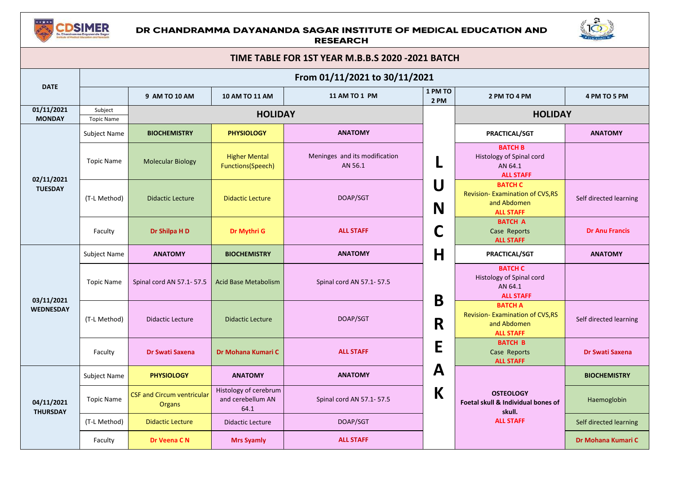

## DR CHANDRAMMA DAYANANDA SAGAR INSTITUTE OF MEDICAL EDUCATION AND **RESEARCH**



| TIME TABLE FOR 1ST YEAR M.B.B.S 2020 -2021 BATCH |                              |                                             |                                                    |                                          |              |                                                                                      |                        |  |  |
|--------------------------------------------------|------------------------------|---------------------------------------------|----------------------------------------------------|------------------------------------------|--------------|--------------------------------------------------------------------------------------|------------------------|--|--|
|                                                  |                              |                                             |                                                    | From 01/11/2021 to 30/11/2021            |              |                                                                                      |                        |  |  |
| <b>DATE</b>                                      |                              | 9 AM TO 10 AM                               | 10 AM TO 11 AM                                     | 11 AM TO 1 PM                            |              | 2 PM TO 4 PM                                                                         | 4 PM TO 5 PM           |  |  |
| 01/11/2021<br><b>MONDAY</b>                      | Subject<br><b>Topic Name</b> |                                             | <b>HOLIDAY</b>                                     |                                          |              | <b>HOLIDAY</b>                                                                       |                        |  |  |
|                                                  | Subject Name                 | <b>BIOCHEMISTRY</b>                         | <b>PHYSIOLOGY</b>                                  | <b>ANATOMY</b>                           |              | PRACTICAL/SGT                                                                        | <b>ANATOMY</b>         |  |  |
| 02/11/2021<br><b>TUESDAY</b>                     | <b>Topic Name</b>            | <b>Molecular Biology</b>                    | <b>Higher Mental</b><br>Functions(Speech)          | Meninges and its modification<br>AN 56.1 | L            | <b>BATCH B</b><br>Histology of Spinal cord<br>AN 64.1<br><b>ALL STAFF</b>            |                        |  |  |
|                                                  | (T-L Method)                 | <b>Didactic Lecture</b>                     | <b>Didactic Lecture</b>                            | DOAP/SGT                                 | U<br>N       | <b>BATCH C</b><br>Revision-Examination of CVS, RS<br>and Abdomen<br><b>ALL STAFF</b> | Self directed learning |  |  |
|                                                  | Faculty                      | Dr Shilpa H D                               | Dr Mythri G                                        | <b>ALL STAFF</b>                         | C            | <b>BATCH A</b><br>Case Reports<br><b>ALL STAFF</b>                                   | <b>Dr Anu Francis</b>  |  |  |
|                                                  | Subject Name                 | <b>ANATOMY</b>                              | <b>BIOCHEMISTRY</b>                                | <b>ANATOMY</b>                           | H            | PRACTICAL/SGT                                                                        | <b>ANATOMY</b>         |  |  |
| 03/11/2021                                       | <b>Topic Name</b>            | Spinal cord AN 57.1-57.5                    | <b>Acid Base Metabolism</b>                        | Spinal cord AN 57.1-57.5                 | B            | <b>BATCH C</b><br>Histology of Spinal cord<br>AN 64.1<br><b>ALL STAFF</b>            |                        |  |  |
| <b>WEDNESDAY</b>                                 | (T-L Method)                 | <b>Didactic Lecture</b>                     | <b>Didactic Lecture</b>                            | DOAP/SGT                                 | R            | <b>BATCH A</b><br>Revision-Examination of CVS, RS<br>and Abdomen<br><b>ALL STAFF</b> | Self directed learning |  |  |
|                                                  | Faculty                      | Dr Swati Saxena                             | Dr Mohana Kumari C                                 | <b>ALL STAFF</b>                         | E            | <b>BATCH B</b><br>Case Reports<br><b>ALL STAFF</b>                                   | <b>Dr Swati Saxena</b> |  |  |
|                                                  | Subject Name                 | <b>PHYSIOLOGY</b>                           | <b>ANATOMY</b>                                     | <b>ANATOMY</b>                           | $\mathbf{A}$ |                                                                                      | <b>BIOCHEMISTRY</b>    |  |  |
| 04/11/2021<br><b>THURSDAY</b>                    | <b>Topic Name</b>            | <b>CSF and Circum ventricular</b><br>Organs | Histology of cerebrum<br>and cerebellum AN<br>64.1 | Spinal cord AN 57.1-57.5                 | K            | <b>OSTEOLOGY</b><br>Foetal skull & Individual bones of<br>skull.                     | Haemoglobin            |  |  |
|                                                  | (T-L Method)                 | <b>Didactic Lecture</b>                     | <b>Didactic Lecture</b>                            | DOAP/SGT                                 |              | <b>ALL STAFF</b>                                                                     | Self directed learning |  |  |
|                                                  | Faculty                      | Dr Veena C N                                | <b>Mrs Syamly</b>                                  | <b>ALL STAFF</b>                         |              |                                                                                      | Dr Mohana Kumari C     |  |  |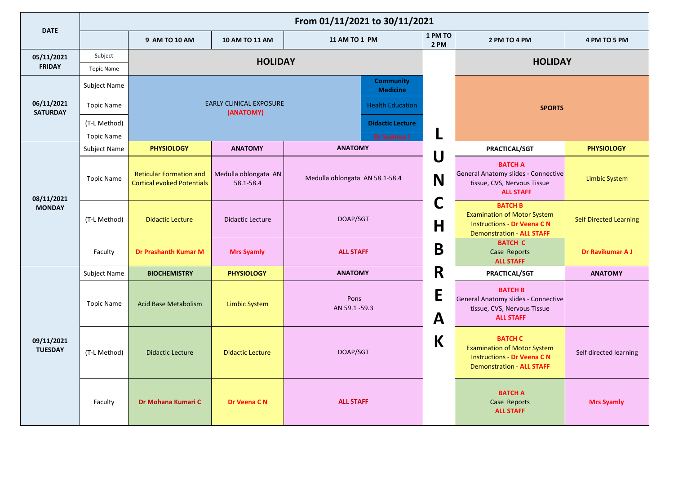|                               | From 01/11/2021 to 30/11/2021 |                                                                     |                                             |                                     |                 |                                                                                                                               |                               |  |  |
|-------------------------------|-------------------------------|---------------------------------------------------------------------|---------------------------------------------|-------------------------------------|-----------------|-------------------------------------------------------------------------------------------------------------------------------|-------------------------------|--|--|
| <b>DATE</b>                   |                               | 9 AM TO 10 AM                                                       | 10 AM TO 11 AM                              | 11 AM TO 1 PM                       | 1 PM TO<br>2 PM | 2 PM TO 4 PM                                                                                                                  | 4 PM TO 5 PM                  |  |  |
| 05/11/2021<br><b>FRIDAY</b>   | Subject                       |                                                                     | <b>HOLIDAY</b>                              |                                     |                 | <b>HOLIDAY</b>                                                                                                                |                               |  |  |
|                               | <b>Topic Name</b>             |                                                                     |                                             |                                     |                 |                                                                                                                               |                               |  |  |
|                               | Subject Name                  |                                                                     |                                             | <b>Community</b><br><b>Medicine</b> |                 |                                                                                                                               |                               |  |  |
| 06/11/2021<br><b>SATURDAY</b> | <b>Topic Name</b>             |                                                                     | <b>EARLY CLINICAL EXPOSURE</b><br>(ANATOMY) | <b>Health Education</b>             |                 | <b>SPORTS</b>                                                                                                                 |                               |  |  |
|                               | (T-L Method)                  |                                                                     |                                             | <b>Didactic Lecture</b>             |                 |                                                                                                                               |                               |  |  |
|                               | <b>Topic Name</b>             |                                                                     |                                             | Dr Sushma J                         | L               |                                                                                                                               |                               |  |  |
|                               | Subject Name                  | <b>PHYSIOLOGY</b>                                                   | <b>ANATOMY</b>                              | <b>ANATOMY</b>                      |                 | PRACTICAL/SGT                                                                                                                 | <b>PHYSIOLOGY</b>             |  |  |
| 08/11/2021                    | <b>Topic Name</b>             | <b>Reticular Formation and</b><br><b>Cortical evoked Potentials</b> | Medulla oblongata AN<br>58.1-58.4           | Medulla oblongata AN 58.1-58.4      | U<br>N          | <b>BATCH A</b><br>General Anatomy slides - Connective<br>tissue, CVS, Nervous Tissue<br><b>ALL STAFF</b>                      | <b>Limbic System</b>          |  |  |
| <b>MONDAY</b>                 | (T-L Method)                  | <b>Didactic Lecture</b>                                             | <b>Didactic Lecture</b>                     | DOAP/SGT                            | C<br>Η          | <b>BATCH B</b><br><b>Examination of Motor System</b><br><b>Instructions - Dr Veena CN</b><br><b>Demonstration - ALL STAFF</b> | <b>Self Directed Learning</b> |  |  |
|                               | Faculty                       | <b>Dr Prashanth Kumar M</b>                                         | <b>Mrs Syamly</b>                           | <b>ALL STAFF</b>                    | B               | <b>BATCH C</b><br>Case Reports<br><b>ALL STAFF</b>                                                                            | Dr Ravikumar A J              |  |  |
|                               | Subject Name                  | <b>BIOCHEMISTRY</b>                                                 | <b>PHYSIOLOGY</b>                           | <b>ANATOMY</b>                      | R               | PRACTICAL/SGT                                                                                                                 | <b>ANATOMY</b>                |  |  |
|                               | <b>Topic Name</b>             | <b>Acid Base Metabolism</b>                                         | <b>Limbic System</b>                        | Pons<br>AN 59.1-59.3                | E<br>A          | <b>BATCH B</b><br>General Anatomy slides - Connective<br>tissue, CVS, Nervous Tissue<br><b>ALL STAFF</b>                      |                               |  |  |
| 09/11/2021<br><b>TUESDAY</b>  | (T-L Method)                  | <b>Didactic Lecture</b>                                             | <b>Didactic Lecture</b>                     | DOAP/SGT                            | K               | <b>BATCH C</b><br><b>Examination of Motor System</b><br><b>Instructions - Dr Veena CN</b><br><b>Demonstration - ALL STAFF</b> | Self directed learning        |  |  |
|                               | Faculty                       | Dr Mohana Kumari C                                                  | Dr Veena CN                                 | <b>ALL STAFF</b>                    |                 | <b>BATCH A</b><br>Case Reports<br><b>ALL STAFF</b>                                                                            | <b>Mrs Syamly</b>             |  |  |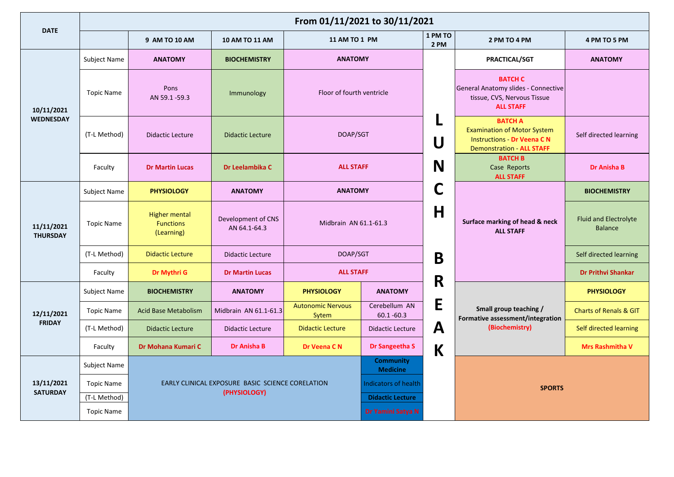|                                | From 01/11/2021 to 30/11/2021 |                                                        |                                                  |                                   |                                     |                 |                                                                                                                               |                                                |  |  |
|--------------------------------|-------------------------------|--------------------------------------------------------|--------------------------------------------------|-----------------------------------|-------------------------------------|-----------------|-------------------------------------------------------------------------------------------------------------------------------|------------------------------------------------|--|--|
| <b>DATE</b>                    |                               | 9 AM TO 10 AM                                          | 10 AM TO 11 AM                                   | 11 AM TO 1 PM                     |                                     | 1 PM TO<br>2 PM | 2 PM TO 4 PM                                                                                                                  | 4 PM TO 5 PM                                   |  |  |
|                                | Subject Name                  | <b>ANATOMY</b>                                         | <b>BIOCHEMISTRY</b>                              | <b>ANATOMY</b>                    |                                     |                 | PRACTICAL/SGT                                                                                                                 | <b>ANATOMY</b>                                 |  |  |
| 10/11/2021<br><b>WEDNESDAY</b> | <b>Topic Name</b>             | Pons<br>AN 59.1-59.3                                   | Immunology                                       |                                   | Floor of fourth ventricle           |                 | <b>BATCH C</b><br>General Anatomy slides - Connective<br>tissue, CVS, Nervous Tissue<br><b>ALL STAFF</b>                      |                                                |  |  |
|                                | (T-L Method)                  | <b>Didactic Lecture</b>                                | <b>Didactic Lecture</b>                          | DOAP/SGT                          |                                     | Ч<br>U          | <b>BATCH A</b><br><b>Examination of Motor System</b><br><b>Instructions - Dr Veena CN</b><br><b>Demonstration - ALL STAFF</b> | Self directed learning                         |  |  |
|                                | Faculty                       | <b>Dr Martin Lucas</b>                                 | Dr Leelambika C                                  | <b>ALL STAFF</b>                  |                                     | N               | <b>BATCH B</b><br>Case Reports<br><b>ALL STAFF</b>                                                                            | <b>Dr Anisha B</b>                             |  |  |
|                                | Subject Name                  | <b>PHYSIOLOGY</b>                                      | <b>ANATOMY</b>                                   | <b>ANATOMY</b>                    |                                     | C               |                                                                                                                               | <b>BIOCHEMISTRY</b>                            |  |  |
| 11/11/2021<br><b>THURSDAY</b>  | <b>Topic Name</b>             | <b>Higher mental</b><br><b>Functions</b><br>(Learning) | Development of CNS<br>AN 64.1-64.3               | Midbrain AN 61.1-61.3             |                                     | H               | Surface marking of head & neck<br><b>ALL STAFF</b>                                                                            | <b>Fluid and Electrolyte</b><br><b>Balance</b> |  |  |
|                                | (T-L Method)                  | <b>Didactic Lecture</b>                                | <b>Didactic Lecture</b>                          | DOAP/SGT                          |                                     | B               |                                                                                                                               | Self directed learning                         |  |  |
|                                | Faculty                       | Dr Mythri G                                            | <b>Dr Martin Lucas</b>                           | <b>ALL STAFF</b>                  |                                     | R               |                                                                                                                               | <b>Dr Prithvi Shankar</b>                      |  |  |
|                                | Subject Name                  | <b>BIOCHEMISTRY</b>                                    | <b>ANATOMY</b>                                   | <b>PHYSIOLOGY</b>                 | <b>ANATOMY</b>                      |                 |                                                                                                                               | <b>PHYSIOLOGY</b>                              |  |  |
| 12/11/2021                     | <b>Topic Name</b>             | <b>Acid Base Metabolism</b>                            | Midbrain AN 61.1-61.3                            | <b>Autonomic Nervous</b><br>Sytem | Cerebellum AN<br>$60.1 - 60.3$      | E               | Small group teaching /<br>Formative assessment/integration                                                                    | <b>Charts of Renals &amp; GIT</b>              |  |  |
| <b>FRIDAY</b>                  | (T-L Method)                  | <b>Didactic Lecture</b>                                | <b>Didactic Lecture</b>                          | <b>Didactic Lecture</b>           | <b>Didactic Lecture</b>             | A               | (Biochemistry)                                                                                                                | Self directed learning                         |  |  |
|                                | Faculty                       | Dr Mohana Kumari C                                     | <b>Dr Anisha B</b>                               | Dr Veena CN                       | Dr Sangeetha S                      | $\mathsf K$     |                                                                                                                               | <b>Mrs Rashmitha V</b>                         |  |  |
|                                | Subject Name                  |                                                        |                                                  |                                   | <b>Community</b><br><b>Medicine</b> |                 |                                                                                                                               |                                                |  |  |
| 13/11/2021                     | <b>Topic Name</b>             |                                                        | EARLY CLINICAL EXPOSURE BASIC SCIENCE CORELATION |                                   | <b>Indicators of health</b>         |                 | <b>SPORTS</b>                                                                                                                 |                                                |  |  |
| <b>SATURDAY</b>                | (T-L Method)                  |                                                        | (PHYSIOLOGY)                                     |                                   | <b>Didactic Lecture</b>             |                 |                                                                                                                               |                                                |  |  |
|                                | <b>Topic Name</b>             |                                                        |                                                  | Dr Yamini Satya N                 |                                     |                 |                                                                                                                               |                                                |  |  |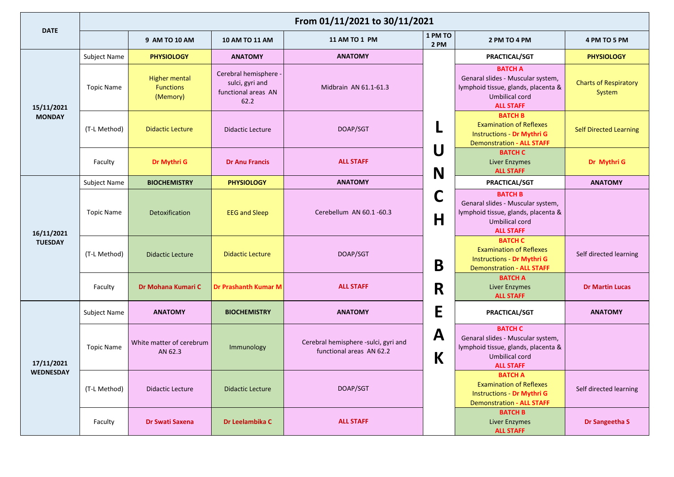|                              | From 01/11/2021 to 30/11/2021 |                                                      |                                                                         |                                                                  |                                               |                                                                                                                                  |                                        |  |  |  |
|------------------------------|-------------------------------|------------------------------------------------------|-------------------------------------------------------------------------|------------------------------------------------------------------|-----------------------------------------------|----------------------------------------------------------------------------------------------------------------------------------|----------------------------------------|--|--|--|
| <b>DATE</b>                  |                               | 9 AM TO 10 AM                                        | <b>10 AM TO 11 AM</b>                                                   | 11 AM TO 1 PM                                                    | 1 PM TO<br>2 PM                               | 2 PM TO 4 PM                                                                                                                     | 4 PM TO 5 PM                           |  |  |  |
| 15/11/2021                   | <b>Subject Name</b>           | <b>PHYSIOLOGY</b>                                    | <b>ANATOMY</b>                                                          | <b>ANATOMY</b>                                                   |                                               | <b>PRACTICAL/SGT</b>                                                                                                             | <b>PHYSIOLOGY</b>                      |  |  |  |
|                              | Topic Name                    | <b>Higher mental</b><br><b>Functions</b><br>(Memory) | Cerebral hemisphere -<br>sulci, gyri and<br>functional areas AN<br>62.2 | Midbrain AN 61.1-61.3                                            |                                               | <b>BATCH A</b><br>Genaral slides - Muscular system,<br>lymphoid tissue, glands, placenta &<br>Umbilical cord<br><b>ALL STAFF</b> | <b>Charts of Respiratory</b><br>System |  |  |  |
| <b>MONDAY</b>                | (T-L Method)                  | <b>Didactic Lecture</b>                              | <b>Didactic Lecture</b>                                                 | DOAP/SGT                                                         | L                                             |                                                                                                                                  | <b>Self Directed Learning</b>          |  |  |  |
|                              | Faculty                       | Dr Mythri G                                          | <b>Dr Anu Francis</b>                                                   | <b>ALL STAFF</b>                                                 | U<br>N                                        |                                                                                                                                  | Dr Mythri G                            |  |  |  |
|                              | Subject Name                  | <b>BIOCHEMISTRY</b>                                  | <b>PHYSIOLOGY</b>                                                       | <b>ANATOMY</b>                                                   |                                               | PRACTICAL/SGT                                                                                                                    | <b>ANATOMY</b>                         |  |  |  |
| 16/11/2021<br><b>TUESDAY</b> | Topic Name                    | Detoxification                                       | <b>EEG and Sleep</b>                                                    | Cerebellum AN 60.1-60.3                                          | C<br>lymphoid tissue, glands, placenta &<br>H |                                                                                                                                  |                                        |  |  |  |
|                              | (T-L Method)                  | <b>Didactic Lecture</b>                              | <b>Didactic Lecture</b>                                                 | DOAP/SGT                                                         | B                                             |                                                                                                                                  | Self directed learning                 |  |  |  |
|                              | Faculty                       | Dr Mohana Kumari C                                   | <b>Dr Prashanth Kumar M</b>                                             | <b>ALL STAFF</b>                                                 | R                                             | <b>BATCH A</b><br><b>Liver Enzymes</b><br><b>ALL STAFF</b>                                                                       | <b>Dr Martin Lucas</b>                 |  |  |  |
|                              | <b>Subject Name</b>           | <b>ANATOMY</b>                                       | <b>BIOCHEMISTRY</b>                                                     | <b>ANATOMY</b>                                                   | E                                             | PRACTICAL/SGT                                                                                                                    | <b>ANATOMY</b>                         |  |  |  |
| 17/11/2021                   | <b>Topic Name</b>             | White matter of cerebrum<br>AN 62.3                  | Immunology                                                              | Cerebral hemisphere -sulci, gyri and<br>functional areas AN 62.2 | $\mathbf A$<br>K                              | <b>BATCH C</b><br>Genaral slides - Muscular system,<br>lymphoid tissue, glands, placenta &<br>Umbilical cord<br><b>ALL STAFF</b> |                                        |  |  |  |
| <b>WEDNESDAY</b>             | (T-L Method)                  | <b>Didactic Lecture</b>                              | <b>Didactic Lecture</b>                                                 | DOAP/SGT                                                         |                                               | <b>BATCH A</b><br><b>Examination of Reflexes</b><br><b>Instructions - Dr Mythri G</b><br><b>Demonstration - ALL STAFF</b>        | Self directed learning                 |  |  |  |
|                              | Faculty                       | Dr Swati Saxena                                      | Dr Leelambika C                                                         | <b>ALL STAFF</b>                                                 |                                               | <b>BATCH B</b><br><b>Liver Enzymes</b><br><b>ALL STAFF</b>                                                                       | Dr Sangeetha S                         |  |  |  |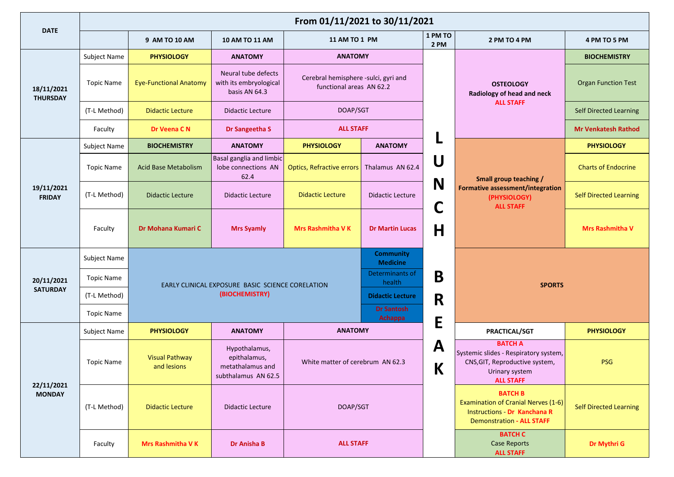|                               | From 01/11/2021 to 30/11/2021 |                                      |                                                                          |                                                                                                                                          |                                     |                               |                                                                                                                                         |                               |  |  |
|-------------------------------|-------------------------------|--------------------------------------|--------------------------------------------------------------------------|------------------------------------------------------------------------------------------------------------------------------------------|-------------------------------------|-------------------------------|-----------------------------------------------------------------------------------------------------------------------------------------|-------------------------------|--|--|
| <b>DATE</b>                   |                               | 9 AM TO 10 AM                        | <b>10 AM TO 11 AM</b>                                                    | 11 AM TO 1 PM                                                                                                                            |                                     | 1 PM TO<br>2 PM               | 2 PM TO 4 PM                                                                                                                            | 4 PM TO 5 PM                  |  |  |
| 18/11/2021<br><b>THURSDAY</b> | Subject Name                  | <b>PHYSIOLOGY</b>                    | <b>ANATOMY</b>                                                           | <b>ANATOMY</b>                                                                                                                           |                                     |                               |                                                                                                                                         | <b>BIOCHEMISTRY</b>           |  |  |
|                               | <b>Topic Name</b>             | <b>Eye-Functional Anatomy</b>        | Neural tube defects<br>with its embryological<br>basis AN 64.3           | Cerebral hemisphere -sulci, gyri and<br>functional areas AN 62.2                                                                         |                                     |                               | <b>OSTEOLOGY</b><br>Radiology of head and neck                                                                                          | <b>Organ Function Test</b>    |  |  |
|                               | (T-L Method)                  | <b>Didactic Lecture</b>              | <b>Didactic Lecture</b>                                                  | DOAP/SGT                                                                                                                                 |                                     | <b>ALL STAFF</b>              |                                                                                                                                         | <b>Self Directed Learning</b> |  |  |
|                               | Faculty                       | Dr Veena C N                         | Dr Sangeetha S                                                           | <b>ALL STAFF</b>                                                                                                                         |                                     |                               |                                                                                                                                         | <b>Mr Venkatesh Rathod</b>    |  |  |
|                               | Subject Name                  | <b>BIOCHEMISTRY</b>                  | <b>ANATOMY</b>                                                           | <b>PHYSIOLOGY</b>                                                                                                                        | <b>ANATOMY</b>                      |                               |                                                                                                                                         | <b>PHYSIOLOGY</b>             |  |  |
|                               | <b>Topic Name</b>             | <b>Acid Base Metabolism</b>          | Basal ganglia and limbic<br>lobe connections AN<br>62.4                  | <b>Optics, Refractive errors</b>                                                                                                         | Thalamus AN 62.4                    | U                             | Small group teaching /                                                                                                                  | <b>Charts of Endocrine</b>    |  |  |
| 19/11/2021<br><b>FRIDAY</b>   | (T-L Method)                  | <b>Didactic Lecture</b>              | <b>Didactic Lecture</b>                                                  | <b>Didactic Lecture</b>                                                                                                                  | <b>Didactic Lecture</b>             | N                             | Formative assessment/integration<br>(PHYSIOLOGY)<br>C<br><b>ALL STAFF</b>                                                               | <b>Self Directed Learning</b> |  |  |
|                               | Faculty                       | Dr Mohana Kumari C                   | <b>Mrs Syamly</b>                                                        | <b>Mrs Rashmitha VK</b>                                                                                                                  | <b>Dr Martin Lucas</b>              | H                             |                                                                                                                                         | <b>Mrs Rashmitha V</b>        |  |  |
|                               | Subject Name                  |                                      |                                                                          |                                                                                                                                          | <b>Community</b><br><b>Medicine</b> |                               |                                                                                                                                         |                               |  |  |
| 20/11/2021                    | Topic Name                    |                                      |                                                                          | Determinants of<br>health<br>EARLY CLINICAL EXPOSURE BASIC SCIENCE CORELATION<br><b>Didactic Lecture</b><br><b>Dr Santosh</b><br>Achappa |                                     | B                             |                                                                                                                                         |                               |  |  |
| <b>SATURDAY</b>               | (T-L Method)                  |                                      | (BIOCHEMISTRY)                                                           |                                                                                                                                          |                                     | R                             | <b>SPORTS</b>                                                                                                                           |                               |  |  |
|                               | Topic Name                    |                                      |                                                                          |                                                                                                                                          |                                     | E                             |                                                                                                                                         |                               |  |  |
|                               | Subject Name                  | <b>PHYSIOLOGY</b>                    | <b>ANATOMY</b>                                                           | <b>ANATOMY</b>                                                                                                                           |                                     |                               | PRACTICAL/SGT                                                                                                                           | <b>PHYSIOLOGY</b>             |  |  |
|                               | <b>Topic Name</b>             | <b>Visual Pathway</b><br>and lesions | Hypothalamus,<br>epithalamus,<br>metathalamus and<br>subthalamus AN 62.5 | White matter of cerebrum AN 62.3                                                                                                         |                                     | $\mathbf{A}$<br>V<br><b>N</b> | <b>BATCH A</b><br>Systemic slides - Respiratory system,<br>CNS, GIT, Reproductive system,<br>Urinary system<br><b>ALL STAFF</b>         | <b>PSG</b>                    |  |  |
| 22/11/2021<br><b>MONDAY</b>   | (T-L Method)                  | <b>Didactic Lecture</b>              | <b>Didactic Lecture</b>                                                  | DOAP/SGT                                                                                                                                 |                                     |                               | <b>BATCH B</b><br><b>Examination of Cranial Nerves (1-6)</b><br><b>Instructions - Dr Kanchana R</b><br><b>Demonstration - ALL STAFF</b> | <b>Self Directed Learning</b> |  |  |
|                               | Faculty                       | <b>Mrs Rashmitha VK</b>              | Dr Anisha B                                                              | <b>ALL STAFF</b>                                                                                                                         |                                     |                               | <b>BATCH C</b><br><b>Case Reports</b><br><b>ALL STAFF</b>                                                                               | Dr Mythri G                   |  |  |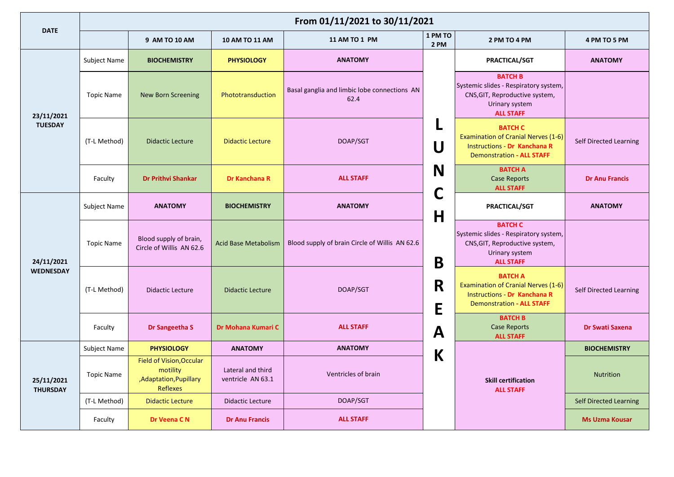|                               | From 01/11/2021 to 30/11/2021 |                                                                                  |                                        |                                                      |                   |                                                                                                                                         |                               |  |  |  |
|-------------------------------|-------------------------------|----------------------------------------------------------------------------------|----------------------------------------|------------------------------------------------------|-------------------|-----------------------------------------------------------------------------------------------------------------------------------------|-------------------------------|--|--|--|
| <b>DATE</b>                   |                               | 9 AM TO 10 AM                                                                    | 10 AM TO 11 AM                         | 11 AM TO 1 PM                                        | 1 PM TO<br>2 PM   | 2 PM TO 4 PM                                                                                                                            | 4 PM TO 5 PM                  |  |  |  |
|                               | Subject Name                  | <b>BIOCHEMISTRY</b>                                                              | <b>PHYSIOLOGY</b>                      | <b>ANATOMY</b>                                       |                   | PRACTICAL/SGT                                                                                                                           | <b>ANATOMY</b>                |  |  |  |
| 23/11/2021<br><b>TUESDAY</b>  | <b>Topic Name</b>             | <b>New Born Screening</b>                                                        | Phototransduction                      | Basal ganglia and limbic lobe connections AN<br>62.4 |                   | <b>BATCH B</b><br>Systemic slides - Respiratory system,<br>CNS, GIT, Reproductive system,<br>Urinary system<br><b>ALL STAFF</b>         |                               |  |  |  |
|                               | (T-L Method)                  | <b>Didactic Lecture</b>                                                          | <b>Didactic Lecture</b>                | DOAP/SGT                                             | U                 | <b>BATCH C</b><br><b>Examination of Cranial Nerves (1-6)</b><br><b>Instructions - Dr Kanchana R</b><br><b>Demonstration - ALL STAFF</b> | Self Directed Learning        |  |  |  |
|                               | Faculty                       | <b>Dr Prithvi Shankar</b>                                                        | <b>Dr Kanchana R</b>                   | <b>ALL STAFF</b>                                     | N                 | <b>BATCH A</b><br><b>Case Reports</b><br><b>ALL STAFF</b>                                                                               | <b>Dr Anu Francis</b>         |  |  |  |
|                               | <b>Subject Name</b>           | <b>ANATOMY</b>                                                                   | <b>BIOCHEMISTRY</b>                    | <b>ANATOMY</b>                                       | C<br>$\mathsf{H}$ | PRACTICAL/SGT                                                                                                                           | <b>ANATOMY</b>                |  |  |  |
| 24/11/2021                    | <b>Topic Name</b>             | Blood supply of brain,<br>Circle of Willis AN 62.6                               | <b>Acid Base Metabolism</b>            | Blood supply of brain Circle of Willis AN 62.6       | B                 | <b>BATCH C</b><br>Systemic slides - Respiratory system,<br>CNS, GIT, Reproductive system,<br>Urinary system<br><b>ALL STAFF</b>         |                               |  |  |  |
| <b>WEDNESDAY</b>              | (T-L Method)                  | <b>Didactic Lecture</b>                                                          | <b>Didactic Lecture</b>                | R<br>DOAP/SGT<br>E                                   |                   | <b>BATCH A</b><br><b>Examination of Cranial Nerves (1-6)</b><br><b>Instructions - Dr Kanchana R</b><br><b>Demonstration - ALL STAFF</b> | Self Directed Learning        |  |  |  |
|                               | Faculty                       | Dr Sangeetha S                                                                   | Dr Mohana Kumari C                     | <b>ALL STAFF</b>                                     | A                 | <b>BATCH B</b><br><b>Case Reports</b><br><b>ALL STAFF</b>                                                                               | <b>Dr Swati Saxena</b>        |  |  |  |
|                               | Subject Name                  | <b>PHYSIOLOGY</b>                                                                | <b>ANATOMY</b>                         | <b>ANATOMY</b>                                       | K                 |                                                                                                                                         | <b>BIOCHEMISTRY</b>           |  |  |  |
| 25/11/2021<br><b>THURSDAY</b> | <b>Topic Name</b>             | Field of Vision, Occular<br>motility<br>,Adaptation,Pupillary<br><b>Reflexes</b> | Lateral and third<br>ventricle AN 63.1 | Ventricles of brain                                  |                   | <b>Skill certification</b><br><b>ALL STAFF</b>                                                                                          | <b>Nutrition</b>              |  |  |  |
|                               | (T-L Method)                  | <b>Didactic Lecture</b>                                                          | <b>Didactic Lecture</b>                | DOAP/SGT                                             |                   |                                                                                                                                         | <b>Self Directed Learning</b> |  |  |  |
|                               | Faculty                       | Dr Veena CN                                                                      | <b>Dr Anu Francis</b>                  | <b>ALL STAFF</b>                                     |                   |                                                                                                                                         | <b>Ms Uzma Kousar</b>         |  |  |  |